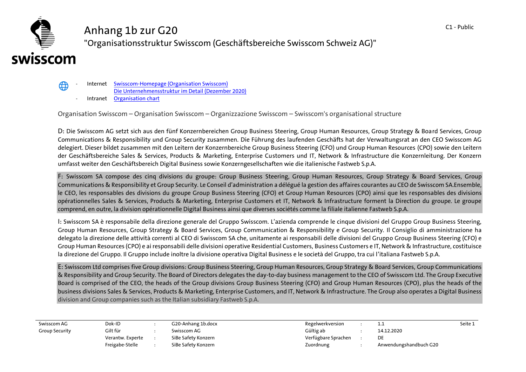## **Anhang 1b zur G20 "Organisationsstruktur Swisscom (Geschäftsbereiche Swisscom Schweiz AG)"**

## swisscom

⊕

- **- Internet [Swisscom-Homepage \(Organisation Swisscom\)](https://www.swisscom.ch/de/about/unternehmen/portraet/organisation.html)**
	- **[Die Unternehmensstruktur im Detail \(Dezember 2020\)](https://www.swisscom.ch/content/dam/swisscom/de/about/governance/documents/swisscom-unternehmensstruktur.pdf.res/swisscom-unternehmensstruktur.pdf)**
- **- Intranet [Organisation chart](Organisation%20chart)**

**Organisation Swisscom – Organisation Swisscom – Organizzazione Swisscom – Swisscom's organisational structure**

**D: Die Swisscom AG setzt sich aus den fünf Konzernbereichen Group Business Steering, Group Human Resources, Group Strategy & Board Services, Group Communications & Responsibility und Group Security zusammen. Die Führung des laufenden Geschäfts hat der Verwaltungsrat an den CEO Swisscom AG delegiert. Dieser bildet zusammen mit den Leitern der Konzernbereiche Group Business Steering (CFO) und Group Human Resources (CPO) sowie den Leitern der Geschäftsbereiche Sales & Services, Products & Marketing, Enterprise Customers und IT, Network & Infrastructure die Konzernleitung. Der Konzern umfasst weiter den Geschäftsbereich Digital Business sowie Konzerngesellschaften wie die italienische Fastweb S.p.A.**

**F: Swisscom SA compose des cinq divisions du groupe: Group Business Steering, Group Human Resources, Group Strategy & Board Services, Group Communications & Responsibility et Group Security. Le Conseil d'administration a délégué la gestion des affaires courantes au CEO de Swisscom SA.Ensemble, le CEO, les responsables des divisions du groupe Group Business Steering (CFO) et Group Human Resources (CPO) ainsi que les responsables des divisions opérationnelles Sales & Services, Products & Marketing, Enterprise Customers et IT, Network & Infrastructure forment la Direction du groupe. Le groupe comprend, en outre, la division opérationnelle Digital Business ainsi que diverses sociétés comme la filiale italienne Fastweb S.p.A.**

**I: Swisscom SA è responsabile della direzione generale del Gruppo Swisscom. L'azienda comprende le cinque divisioni del Gruppo Group Business Steering, Group Human Resources, Group Strategy & Board Services, Group Communication & Responsibility e Group Security. Il Consiglio di amministrazione ha delegato la direzione delle attività correnti al CEO di Swisscom SA che, unitamente ai responsabili delle divisioni del Gruppo Group Business Steering (CFO) e Group Human Resources (CPO) e ai responsabili delle divisioni operative Residential Customers, Business Customers e IT, Network & Infrastructure, costituisce la direzione del Gruppo. Il Gruppo include inoltre la divisione operativa Digital Business e le società del Gruppo, tra cui l'italiana Fastweb S.p.A.**

**E: Swisscom Ltd comprises five Group divisions: Group Business Steering, Group Human Resources, Group Strategy & Board Services, Group Communications & Responsibility and Group Security. The Board of Directors delegates the day-to-day business management to the CEO of Swisscom Ltd. The Group Executive Board is comprised of the CEO, the heads of the Group divisions Group Business Steering (CFO) and Group Human Resources (CPO), plus the heads of the business divisions Sales & Services, Products & Marketing, Enterprise Customers, and IT, Network & Infrastructure. The Group also operates a Digital Business division and Group companies such as the Italian subsidiary Fastweb S.p.A.**

**Swisscom AG Dok-ID : G20-Anhang 1b.docx Regelwerkversion : 1.1 Seite 1 Group Security Gilt für : Swisscom AG Gültig ab : 14.12.2020 Verantw. Experte : SiBe Safety Konzern Verfügbare Sprachen : DE Freigabe-Stelle : SiBe Safety Konzern Zuordnung : Anwendungshandbuch G20**